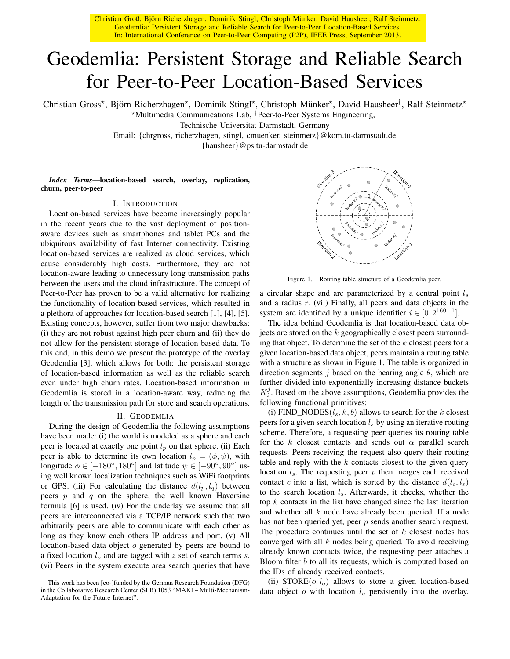Christian Groß, Björn Richerzhagen, Dominik Stingl, Christoph Münker, David Hausheer, Ralf Steinmetz: Geodemlia: Persistent Storage and Reliable Search for Peer-to-Peer Location-Based Services. In: International Conference on Peer-to-Peer Computing (P2P), IEEE Press, September 2013.

# Geodemlia: Persistent Storage and Reliable Search for Peer-to-Peer Location-Based Services

Christian Gross\*, Björn Richerzhagen\*, Dominik Stingl\*, Christoph Münker\*, David Hausheer<sup>†</sup>, Ralf Steinmetz\*

?Multimedia Communications Lab, †Peer-to-Peer Systems Engineering,

Technische Universität Darmstadt, Germany

Email: {chrgross, richerzhagen, stingl, cmuenker, steinmetz}@kom.tu-darmstadt.de

{hausheer}@ps.tu-darmstadt.de

*Index Terms*—location-based search, overlay, replication, churn, peer-to-peer

#### I. INTRODUCTION

Location-based services have become increasingly popular in the recent years due to the vast deployment of positionaware devices such as smartphones and tablet PCs and the ubiquitous availability of fast Internet connectivity. Existing location-based services are realized as cloud services, which cause considerably high costs. Furthermore, they are not location-aware leading to unnecessary long transmission paths between the users and the cloud infrastructure. The concept of Peer-to-Peer has proven to be a valid alternative for realizing the functionality of location-based services, which resulted in a plethora of approaches for location-based search [1], [4], [5]. Existing concepts, however, suffer from two major drawbacks: (i) they are not robust against high peer churn and (ii) they do not allow for the persistent storage of location-based data. To this end, in this demo we present the prototype of the overlay Geodemlia [3], which allows for both: the persistent storage of location-based information as well as the reliable search even under high churn rates. Location-based information in Geodemlia is stored in a location-aware way, reducing the length of the transmission path for store and search operations.

## II. GEODEMLIA

During the design of Geodemlia the following assumptions have been made: (i) the world is modeled as a sphere and each peer is located at exactly one point  $l_p$  on that sphere. (ii) Each peer is able to determine its own location  $l_p = (\phi, \psi)$ , with longitude  $\phi \in [-180^\circ, 180^\circ]$  and latitude  $\psi \in [-90^\circ, 90^\circ]$  using well known localization techniques such as WiFi footprints or GPS. (iii) For calculating the distance  $d(l_p, l_q)$  between peers  $p$  and  $q$  on the sphere, the well known Haversine formula [6] is used. (iv) For the underlay we assume that all peers are interconnected via a TCP/IP network such that two arbitrarily peers are able to communicate with each other as long as they know each others IP address and port. (v) All location-based data object o generated by peers are bound to a fixed location  $l_o$  and are tagged with a set of search terms  $s$ . (vi) Peers in the system execute area search queries that have





Figure 1. Routing table structure of a Geodemlia peer.

a circular shape and are parameterized by a central point  $l_s$ and a radius r. (vii) Finally, all peers and data objects in the system are identified by a unique identifier  $i \in [0, 2^{160-1}]$ .

The idea behind Geodemlia is that location-based data objects are stored on the k geographically closest peers surrounding that object. To determine the set of the  $k$  closest peers for a given location-based data object, peers maintain a routing table with a structure as shown in Figure 1. The table is organized in direction segments j based on the bearing angle  $\theta$ , which are further divided into exponentially increasing distance buckets  $K_i^j$ . Based on the above assumptions, Geodemlia provides the following functional primitives:

(i) FIND\_NODES( $l_s, k, b$ ) allows to search for the k closest peers for a given search location  $l<sub>s</sub>$  by using an iterative routing scheme. Therefore, a requesting peer queries its routing table for the k closest contacts and sends out  $\alpha$  parallel search requests. Peers receiving the request also query their routing table and reply with the  $k$  contacts closest to the given query location  $l_s$ . The requesting peer p then merges each received contact c into a list, which is sorted by the distance  $d(l_c, l_s)$ to the search location  $l_s$ . Afterwards, it checks, whether the top  $k$  contacts in the list have changed since the last iteration and whether all  $k$  node have already been queried. If a node has not been queried yet, peer p sends another search request. The procedure continues until the set of  $k$  closest nodes has converged with all  $k$  nodes being queried. To avoid receiving already known contacts twice, the requesting peer attaches a Bloom filter  $b$  to all its requests, which is computed based on the IDs of already received contacts.

(ii)  $STORE(o, l_o)$  allows to store a given location-based data object  $o$  with location  $l<sub>o</sub>$  persistently into the overlay.